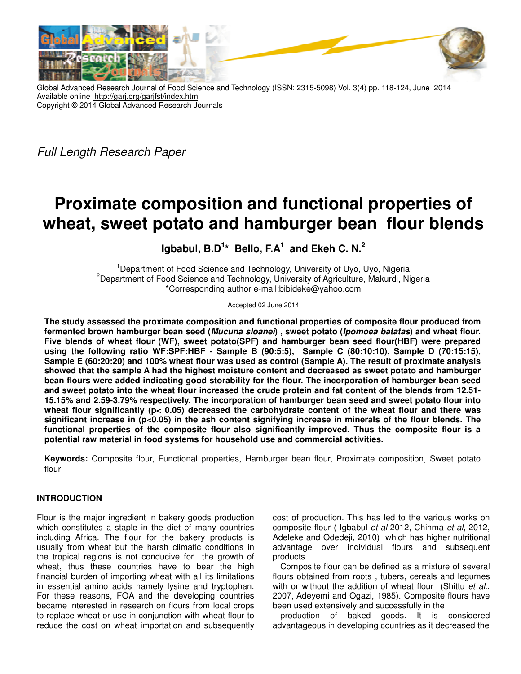

Global Advanced Research Journal of Food Science and Technology (ISSN: 2315-5098) Vol. 3(4) pp. 118-124, June 2014 Available online http://garj.org/garjfst/index.htm Copyright © 2014 Global Advanced Research Journals

Full Length Research Paper

# **Proximate composition and functional properties of**  wheat, sweet potato and hamburger bean flour blends

# **Igbabul, B.D 1 \* Bello, F.A<sup>1</sup> and Ekeh C. N.<sup>2</sup>**

<sup>1</sup>Department of Food Science and Technology, University of Uyo, Uyo, Nigeria <sup>2</sup>Department of Food Science and Technology, University of Agriculture, Makurdi, Nigeria od Science and Technology, University of Agriculture,<br>\*Corresponding author e-mail:bibideke@yahoo.com

Accepted 02 June 2014

The study assessed the proximate composition and functional properties of composite flour produced from fermented brown hamburger bean seed (*Mucuna sloanei*) , sweet potato (*Ipomoea batatas*) and wheat flour. Five blends of wheat flour (WF), sweet potato(SPF) and hamburger bean seed flour(HBF) were prepared using the following ratio WF:SPF:HBF - Sample B (90:5:5), Sample C (80:10:10), Sample D (70:15:15), using the following ratio WF:SPF:HBF - Sample B (90:5:5), Sample C (80:10:10), Sample D (70:15:15),<br>Sample E (60:20:20) and 100% wheat flour was used as control (Sample A). The result of proximate analysis **showed that the sample A had the high highest moisture content and decreased as sweet potato and hamburger**  bean flours were added indicating good storability for the flour. The incorporation of hamburger bean seed bean flours were added indicating good storability for the flour. The incorporation of hamburger bean seed<br>and sweet potato into the wheat flour increased the crude protein and fat content of the blends from 12.51-**15.15% and 2.59-3.79% respectively. The 3.79% respectively. The incorporation of hamburger bean seed and sweet potato flour into**  15.15% and 2.59-3.79% respectively. The incorporation of hamburger bean seed and sweet potato flour into<br>wheat flour significantly (p< 0.05) decreased the carbohydrate content of the wheat flour and there was **significant increase in (p<0.05) in the ash content signifying increase in minerals of the flour blends blends. The**  significant increase in (p<0.05) in the ash content signifying increase in minerals of the flour blends. The<br>functional properties of the composite flour also significantly improved. Thus the composite flour is a **potential raw material in food systems for household use and commercial acti activities.** 

Keywords: Composite flour, Functional properties, Hamburger bean flour, Proximate composition, Sweet potato flour

# **INTRODUCTION**

Flour is the major ingredient in bakery goods production which constitutes a staple in the diet of many countries including Africa. The flour for the bakery products is usually from wheat but the harsh climatic conditions in usually from wheat but the harsh climatic conditions in<br>the tropical regions is not conducive for the growth of wheat, thus these countries have to bear the high wheat, thus these countries have to bear the high<br>financial burden of importing wheat with all its limitations in essential amino acids namely lysine and tryptophan. For these reasons, FOA and the developing countries became interested in research on flours from local crops to replace wheat or use in conjunction with wheat flour to reduce the cost on wheat importation and subsequently reasons, FOA and the developing countries<br>erested in research on flours from local crops<br>wheat or use in conjunction with wheat flour to

cost of production. This has led to the various works on composite flour (Igbabul et al 2012, Chinma et al, 2012, Adeleke and Odedeji, 2010) which has higher nutritional advantage over individual flours and subsequent products.

Composite flour can be defined as a mixture of several flours obtained from roots , tubers, cereals and legumes with or without the addition of wheat flour (Shittu et al.. 2007, Adeyemi and Ogazi, 1985). 2007, 1985). Composite flours have been used extensively and successfully in the advantage over individual flours and subsequent<br>products.<br>Composite flour can be defined as a mixture of several<br>flours obtained from roots, tubers, cereals and legumes<br>with or without the addition of wheat flour (Shittu

production of baked goods. It is considered advantageous in developing countries as it decreased the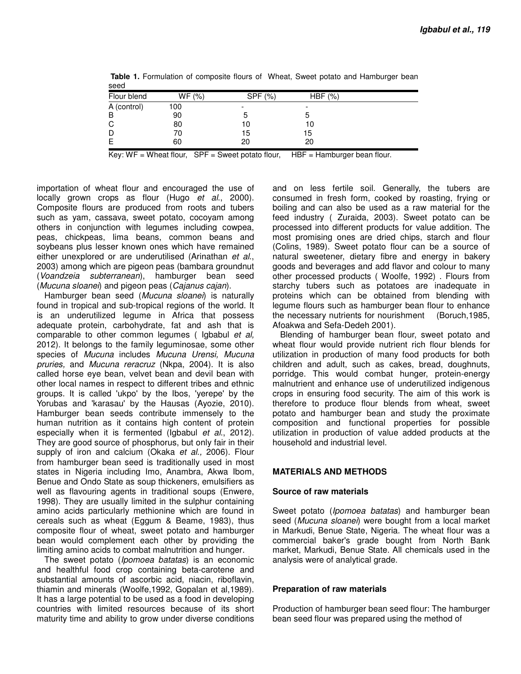| occu        |        |         |        |  |
|-------------|--------|---------|--------|--|
| Flour blend | WF (%) | SPF (%) | HBF(%) |  |
| A (control) | 100    |         | -      |  |
| B           | 90     |         |        |  |
| С           | 80     | 10      | 10     |  |
| D           | 70     | 15      | 15     |  |
| Е           | 60     | 20      | 20     |  |

**Table 1.** Formulation of composite flours of Wheat, Sweet potato and Hamburger bean seed

Key:  $WF =$  Wheat flour,  $SPF =$  Sweet potato flour,  $HBF =$  Hamburger bean flour.

importation of wheat flour and encouraged the use of locally grown crops as flour (Hugo et al., 2000). Composite flours are produced from roots and tubers such as yam, cassava, sweet potato, cocoyam among others in conjunction with legumes including cowpea, peas, chickpeas, lima beans, common beans and soybeans plus lesser known ones which have remained either unexplored or are underutilised (Arinathan et al., 2003) among which are pigeon peas (bambara groundnut (Voandzeia subterranean), hamburger bean seed (Mucuna sloanei) and pigeon peas (Cajanus cajan).

Hamburger bean seed (Mucuna sloanei) is naturally found in tropical and sub-tropical regions of the world. It is an underutilized legume in Africa that possess adequate protein, carbohydrate, fat and ash that is comparable to other common legumes ( Igbabul et al, 2012). It belongs to the family leguminosae, some other species of Mucuna includes Mucuna Urensi, Mucuna pruries, and Mucuna reracruz (Nkpa, 2004). It is also called horse eye bean, velvet bean and devil bean with other local names in respect to different tribes and ethnic groups. It is called 'ukpo' by the Ibos, 'yerepe' by the Yorubas and 'karasau' by the Hausas (Ayozie, 2010). Hamburger bean seeds contribute immensely to the human nutrition as it contains high content of protein especially when it is fermented (Igbabul et al., 2012). They are good source of phosphorus, but only fair in their supply of iron and calcium (Okaka et al., 2006). Flour from hamburger bean seed is traditionally used in most states in Nigeria including Imo, Anambra, Akwa Ibom, Benue and Ondo State as soup thickeners, emulsifiers as well as flavouring agents in traditional soups (Enwere, 1998). They are usually limited in the sulphur containing amino acids particularly methionine which are found in cereals such as wheat (Eggum & Beame, 1983), thus composite flour of wheat, sweet potato and hamburger bean would complement each other by providing the limiting amino acids to combat malnutrition and hunger.

The sweet potato (*Ipomoea batatas*) is an economic and healthful food crop containing beta-carotene and substantial amounts of ascorbic acid, niacin, riboflavin, thiamin and minerals (Woolfe,1992, Gopalan et al,1989). It has a large potential to be used as a food in developing countries with limited resources because of its short maturity time and ability to grow under diverse conditions

and on less fertile soil. Generally, the tubers are consumed in fresh form, cooked by roasting, frying or boiling and can also be used as a raw material for the feed industry ( Zuraida, 2003). Sweet potato can be processed into different products for value addition. The most promising ones are dried chips, starch and flour (Colins, 1989). Sweet potato flour can be a source of natural sweetener, dietary fibre and energy in bakery goods and beverages and add flavor and colour to many other processed products ( Woolfe, 1992) . Flours from starchy tubers such as potatoes are inadequate in proteins which can be obtained from blending with legume flours such as hamburger bean flour to enhance the necessary nutrients for nourishment (Boruch,1985, Afoakwa and Sefa-Dedeh 2001).

Blending of hamburger bean flour, sweet potato and wheat flour would provide nutrient rich flour blends for utilization in production of many food products for both children and adult, such as cakes, bread, doughnuts, porridge. This would combat hunger, protein-energy malnutrient and enhance use of underutilized indigenous crops in ensuring food security. The aim of this work is therefore to produce flour blends from wheat, sweet potato and hamburger bean and study the proximate composition and functional properties for possible utilization in production of value added products at the household and industrial level.

#### **MATERIALS AND METHODS**

#### **Source of raw materials**

Sweet potato (*Ipomoea batatas*) and hamburger bean seed (Mucuna sloanei) were bought from a local market in Markudi, Benue State, Nigeria. The wheat flour was a commercial baker's grade bought from North Bank market, Markudi, Benue State. All chemicals used in the analysis were of analytical grade.

#### **Preparation of raw materials**

Production of hamburger bean seed flour: The hamburger bean seed flour was prepared using the method of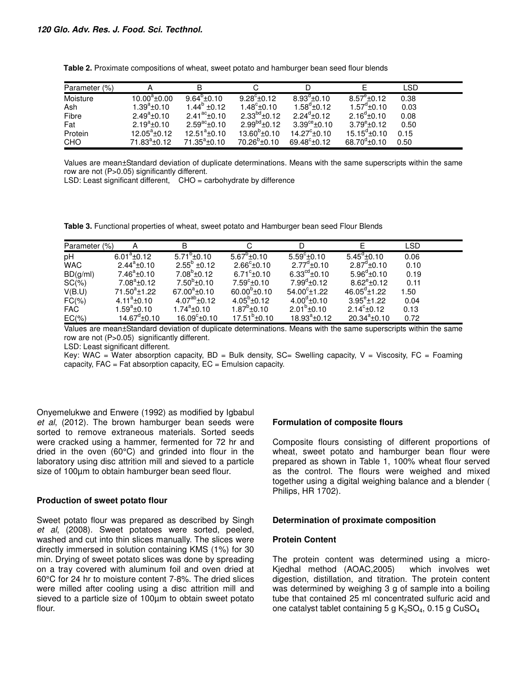| Parameter (%) |                    |                       |                       |                          |                       | <b>LSD</b> |
|---------------|--------------------|-----------------------|-----------------------|--------------------------|-----------------------|------------|
| Moisture      | $10.00^a \pm 0.00$ | $9.64^{\circ}$ ± 0.10 | $9.28^{\circ}$ ± 0.12 | $8.93^{\circ}$ ±0.10     | $8.57^{\circ}$ ± 0.12 | 0.38       |
| Ash           | $1.39^a \pm 0.10$  | $1.44^{\circ}$ ±0.12  | $1.48^{\circ}$ ±0.10  | $1.58^{\circ}$ ±0.12     | $1.57^{\circ}$ ±0.10  | 0.03       |
| Fibre         | $2.49^a \pm 0.10$  | $2.41^{ac} + 0.10$    | $2.33^{bd}$ ±0.12     | $2.24^{\circ}$ +0.12     | $2.16^{\circ}$ ±0.10  | 0.08       |
| Fat           | $2.19^a \pm 0.10$  | $2.59^{ac}$ ±0.10     | $2.99^{bd}$ ±0.12     | $3.39^{\text{ce}}$ ±0.10 | $3.79^{\circ}$ ±0.12  | 0.50       |
| Protein       | $12.05^a \pm 0.12$ | $12.51^a \pm 0.10$    | $13.60^{\circ}$ ±0.10 | $14.27^{\circ}$ ±0.10    | $15.15^{\circ}$ ±0.10 | 0.15       |
| <b>CHO</b>    | $71.83^a \pm 0.12$ | $71.35^a \pm 0.10$    | $70.26^{\circ}$ ±0.10 | $69.48^{\circ}$ ± 0.12   | $68.70^{\circ}$ ±0.10 | 0.50       |

**Table 2.** Proximate compositions of wheat, sweet potato and hamburger bean seed flour blends

Values are mean±Standard deviation of duplicate determinations. Means with the same superscripts within the same row are not (P>0.05) significantly different.

LSD: Least significant different, CHO = carbohydrate by difference

**Table 3.** Functional properties of wheat, sweet potato and Hamburger bean seed Flour Blends

| Parameter (%) |                       | B                     |                       |                           |                       | <b>LSD</b> |  |
|---------------|-----------------------|-----------------------|-----------------------|---------------------------|-----------------------|------------|--|
| pH            | $6.01^a \pm 0.12$     | $5.71^{\circ}$ ±0.10  | $5.67^{\circ}$ ±0.10  | $5.59^{\circ}$ ±0.10      | $5.45^{\circ}$ ±0.10  | 0.06       |  |
| <b>WAC</b>    | $2.44^a \pm 0.10$     | $2.55^b \pm 0.12$     | $2.66^{\circ}$ ±0.10  | $2.77^{\text{d}}\pm 0.10$ | $2.87^d \pm 0.10$     | 0.10       |  |
| BD(g/ml)      | $7.46^a \pm 0.10$     | $7.08^{\circ}$ ±0.12  | $6.71^{\circ}$ ±0.10  | $6.33^{\text{cd}}$ ±0.10  | $5.96^{\circ}$ ±0.10  | 0.19       |  |
| $SC(\%)$      | $7.08^a \pm 0.12$     | $7.50^{\circ}$ ±0.10  | $7.59^{\circ}$ ±0.10  | $7.99^{\circ}$ ±0.12      | $8.62^{\circ}$ ±0.12  | 0.11       |  |
| V(B.U)        | $71.50^a \pm 1.22$    | $67.00^a \pm 0.10$    | $60.00^{b}$ ±0.10     | $54.00^{\circ}$ ±1.22     | $46.05^{\circ}$ ±1.22 | 1.50       |  |
| $FC(\% )$     | $4.11^a \pm 0.10$     | $4.07^{ab}$ ±0.12     | $4.05^{\circ}$ ±0.12  | $4.00^{\circ}$ ±0.10      | $3.95^{\circ}$ ±1.22  | 0.04       |  |
| <b>FAC</b>    | $1.59^a \pm 0.10$     | $1.74^a \pm 0.10$     | $1.87^{\circ}$ ±0.10  | $2.01^b \pm 0.10$         | $2.14^{\circ}$ ± 0.12 | 0.13       |  |
| $EC(\% )$     | $14.67^{\circ}$ ±0.10 | $16.09^{\circ}$ ±0.10 | $17.51^{\circ}$ ±0.10 | $18.93^a \pm 0.12$        | $20.34^a \pm 0.10$    | 0.72       |  |

Values are mean±Standard deviation of duplicate determinations. Means with the same superscripts within the same row are not (P>0.05) significantly different.

LSD: Least significant different.

Key: WAC = Water absorption capacity,  $BD = Bulk$  density,  $SC = S$  welling capacity,  $V = V$  iscosity,  $FC = F$ oaming capacity,  $FAC = Fat$  absorption capacity,  $EC =$  Emulsion capacity.

Onyemelukwe and Enwere (1992) as modified by Igbabul et al, (2012). The brown hamburger bean seeds were sorted to remove extraneous materials. Sorted seeds were cracked using a hammer, fermented for 72 hr and dried in the oven (60°C) and grinded into flour in the laboratory using disc attrition mill and sieved to a particle size of 100µm to obtain hamburger bean seed flour.

#### **Production of sweet potato flour**

Sweet potato flour was prepared as described by Singh et al, (2008). Sweet potatoes were sorted, peeled, washed and cut into thin slices manually. The slices were directly immersed in solution containing KMS (1%) for 30 min. Drying of sweet potato slices was done by spreading on a tray covered with aluminum foil and oven dried at 60°C for 24 hr to moisture content 7-8%. The dried slices were milled after cooling using a disc attrition mill and sieved to a particle size of 100µm to obtain sweet potato flour.

#### **Formulation of composite flours**

Composite flours consisting of different proportions of wheat, sweet potato and hamburger bean flour were prepared as shown in Table 1, 100% wheat flour served as the control. The flours were weighed and mixed together using a digital weighing balance and a blender ( Philips, HR 1702).

#### **Determination of proximate composition**

#### **Protein Content**

The protein content was determined using a micro-Kjedhal method (AOAC,2005) which involves wet digestion, distillation, and titration. The protein content was determined by weighing 3 g of sample into a boiling tube that contained 25 ml concentrated sulfuric acid and one catalyst tablet containing 5 g  $K_2SO_4$ , 0.15 g  $CuSO_4$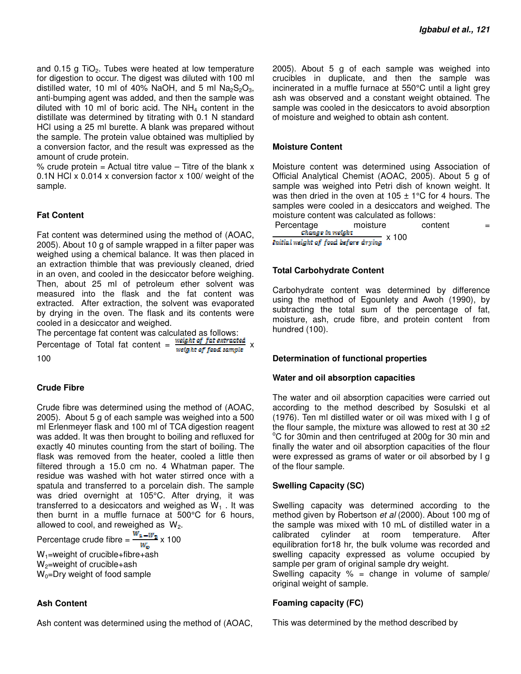and  $0.15$  g TiO<sub>2</sub>. Tubes were heated at low temperature for digestion to occur. The digest was diluted with 100 ml distilled water, 10 ml of 40% NaOH, and 5 ml  $Na<sub>2</sub>S<sub>2</sub>O<sub>3</sub>$ , anti-bumping agent was added, and then the sample was diluted with 10 ml of boric acid. The  $NH<sub>4</sub>$  content in the distillate was determined by titrating with 0.1 N standard HCl using a 25 ml burette. A blank was prepared without the sample. The protein value obtained was multiplied by a conversion factor, and the result was expressed as the amount of crude protein.

% crude protein = Actual titre value  $-$  Titre of the blank x 0.1N HCl x 0.014 x conversion factor x 100/ weight of the sample.

### **Fat Content**

Fat content was determined using the method of (AOAC, 2005). About 10 g of sample wrapped in a filter paper was weighed using a chemical balance. It was then placed in an extraction thimble that was previously cleaned, dried in an oven, and cooled in the desiccator before weighing. Then, about 25 ml of petroleum ether solvent was measured into the flask and the fat content was extracted. After extraction, the solvent was evaporated by drying in the oven. The flask and its contents were cooled in a desiccator and weighed.

The percentage fat content was calculated as follows:

Percentage of Total fat content =  $\frac{weight of fat extracted}{weight of food sample}$  x 100

#### **Crude Fibre**

Crude fibre was determined using the method of (AOAC, 2005). About 5 g of each sample was weighed into a 500 ml Erlenmeyer flask and 100 ml of TCA digestion reagent was added. It was then brought to boiling and refluxed for exactly 40 minutes counting from the start of boiling. The flask was removed from the heater, cooled a little then filtered through a 15.0 cm no. 4 Whatman paper. The residue was washed with hot water stirred once with a spatula and transferred to a porcelain dish. The sample was dried overnight at 105°C. After drying, it was transferred to a desiccators and weighed as  $W_1$ . It was then burnt in a muffle furnace at 500°C for 6 hours, allowed to cool, and reweighed as  $W_2$ .

Percentage crude fibre =  $\frac{\overline{W}_4 - \overline{W}_2}{W_0}$  x 100

 $W_1$ =weight of crucible+fibre+ash  $W_2$ =weight of crucible+ash

 $W_0$ =Dry weight of food sample

#### **Ash Content**

Ash content was determined using the method of (AOAC,

2005). About 5 g of each sample was weighed into crucibles in duplicate, and then the sample was incinerated in a muffle furnace at 550°C until a light grey ash was observed and a constant weight obtained. The sample was cooled in the desiccators to avoid absorption of moisture and weighed to obtain ash content.

#### **Moisture Content**

Moisture content was determined using Association of Official Analytical Chemist (AOAC, 2005). About 5 g of sample was weighed into Petri dish of known weight. It was then dried in the oven at 105  $\pm$  1°C for 4 hours. The samples were cooled in a desiccators and weighed. The moisture content was calculated as follows:

Percentage moisture content  $=\frac{1}{2}$  content  $=\frac{1}{2}$  content  $=\frac{1}{2}$  content **Initial weight of food before drying** x 100

#### **Total Carbohydrate Content**

Carbohydrate content was determined by difference using the method of Egounlety and Awoh (1990), by subtracting the total sum of the percentage of fat, moisture, ash, crude fibre, and protein content from hundred (100).

#### **Determination of functional properties**

#### **Water and oil absorption capacities**

The water and oil absorption capacities were carried out according to the method described by Sosulski et al (1976). Ten ml distilled water or oil was mixed with I g of the flour sample, the mixture was allowed to rest at 30  $\pm$ 2 <sup>o</sup>C for 30min and then centrifuged at 200g for 30 min and finally the water and oil absorption capacities of the flour were expressed as grams of water or oil absorbed by I g of the flour sample.

#### **Swelling Capacity (SC)**

Swelling capacity was determined according to the method given by Robertson et al (2000). About 100 mg of the sample was mixed with 10 mL of distilled water in a calibrated cylinder at room temperature. After equilibration for18 hr, the bulk volume was recorded and swelling capacity expressed as volume occupied by sample per gram of original sample dry weight.

Swelling capacity  $% =$  change in volume of sample/ original weight of sample.

#### **Foaming capacity (FC)**

This was determined by the method described by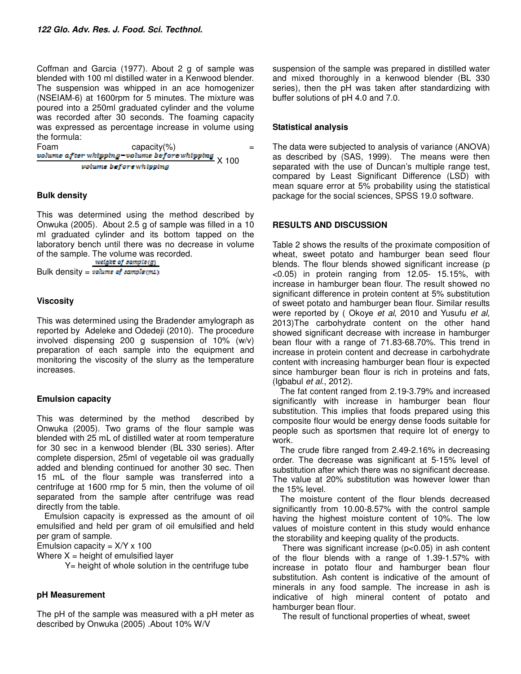Coffman and Garcia (1977). About 2 g of sample was blended with 100 ml distilled water in a Kenwood blender. The suspension was whipped in an ace homogenizer (NSEIAM-6) at 1600rpm for 5 minutes. The mixture was poured into a 250ml graduated cylinder and the volume was recorded after 30 seconds. The foaming capacity was expressed as percentage increase in volume using the formula:

Foam capacity(%) = X 100 volume before whipping

#### **Bulk density**

This was determined using the method described by Onwuka (2005). About 2.5 g of sample was filled in a 10 ml graduated cylinder and its bottom tapped on the laboratory bench until there was no decrease in volume of the sample. The volume was recorded.<br>  $\frac{weight of sample(g)}{1}$ 

Bulk density =  $volume$  of  $sample(mL)$ 

### **Viscosity**

This was determined using the Bradender amylograph as reported by Adeleke and Odedeji (2010). The procedure involved dispensing 200 g suspension of 10% (w/v) preparation of each sample into the equipment and monitoring the viscosity of the slurry as the temperature increases.

#### **Emulsion capacity**

This was determined by the method described by Onwuka (2005). Two grams of the flour sample was blended with 25 mL of distilled water at room temperature for 30 sec in a kenwood blender (BL 330 series). After complete dispersion, 25ml of vegetable oil was gradually added and blending continued for another 30 sec. Then 15 mL of the flour sample was transferred into a centrifuge at 1600 rmp for 5 min, then the volume of oil separated from the sample after centrifuge was read directly from the table.

Emulsion capacity is expressed as the amount of oil emulsified and held per gram of oil emulsified and held per gram of sample.

Emulsion capacity =  $X/Y$  x 100

Where  $X =$  height of emulsified layer

Y= height of whole solution in the centrifuge tube

#### **pH Measurement**

The pH of the sample was measured with a pH meter as described by Onwuka (2005) .About 10% W/V

suspension of the sample was prepared in distilled water and mixed thoroughly in a kenwood blender (BL 330 series), then the pH was taken after standardizing with buffer solutions of pH 4.0 and 7.0.

## **Statistical analysis**

The data were subjected to analysis of variance (ANOVA) as described by (SAS, 1999). The means were then separated with the use of Duncan's multiple range test, compared by Least Significant Difference (LSD) with mean square error at 5% probability using the statistical package for the social sciences, SPSS 19.0 software.

### **RESULTS AND DISCUSSION**

Table 2 shows the results of the proximate composition of wheat, sweet potato and hamburger bean seed flour blends. The flour blends showed significant increase (p <0.05) in protein ranging from 12.05- 15.15%, with increase in hamburger bean flour. The result showed no significant difference in protein content at 5% substitution of sweet potato and hamburger bean flour. Similar results were reported by (Okoye et al, 2010 and Yusufu et al, 2013)The carbohydrate content on the other hand showed significant decrease with increase in hamburger bean flour with a range of 71.83-68.70%. This trend in increase in protein content and decrease in carbohydrate content with increasing hamburger bean flour is expected since hamburger bean flour is rich in proteins and fats, (Igbabul et al., 2012).

The fat content ranged from 2.19-3.79% and increased significantly with increase in hamburger bean flour substitution. This implies that foods prepared using this composite flour would be energy dense foods suitable for people such as sportsmen that require lot of energy to work.

The crude fibre ranged from 2.49-2.16% in decreasing order. The decrease was significant at 5-15% level of substitution after which there was no significant decrease. The value at 20% substitution was however lower than the 15% level.

The moisture content of the flour blends decreased significantly from 10.00-8.57% with the control sample having the highest moisture content of 10%. The low values of moisture content in this study would enhance the storability and keeping quality of the products.

There was significant increase  $(p<0.05)$  in ash content of the flour blends with a range of 1.39-1.57% with increase in potato flour and hamburger bean flour substitution. Ash content is indicative of the amount of minerals in any food sample. The increase in ash is indicative of high mineral content of potato and hamburger bean flour.

The result of functional properties of wheat, sweet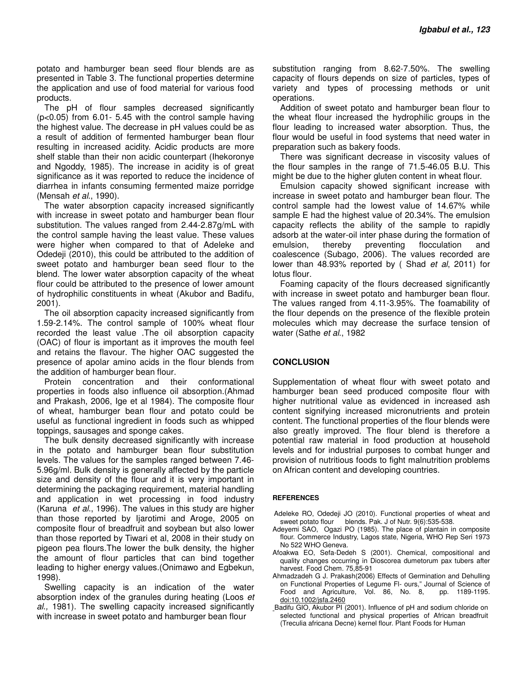potato and hamburger bean seed flour blends are as presented in Table 3. The functional properties determine the application and use of food material for various food products.

The pH of flour samples decreased significantly (p<0.05) from 6.01- 5.45 with the control sample having the highest value. The decrease in pH values could be as a result of addition of fermented hamburger bean flour resulting in increased acidity. Acidic products are more shelf stable than their non acidic counterpart (Ihekoronye and Ngoddy, 1985). The increase in acidity is of great significance as it was reported to reduce the incidence of diarrhea in infants consuming fermented maize porridge (Mensah et al., 1990).

The water absorption capacity increased significantly with increase in sweet potato and hamburger bean flour substitution. The values ranged from 2.44-2.87g/mL with the control sample having the least value. These values were higher when compared to that of Adeleke and Odedeji (2010), this could be attributed to the addition of sweet potato and hamburger bean seed flour to the blend. The lower water absorption capacity of the wheat flour could be attributed to the presence of lower amount of hydrophilic constituents in wheat (Akubor and Badifu, 2001).

The oil absorption capacity increased significantly from 1.59-2.14%. The control sample of 100% wheat flour recorded the least value .The oil absorption capacity (OAC) of flour is important as it improves the mouth feel and retains the flavour. The higher OAC suggested the presence of apolar amino acids in the flour blends from the addition of hamburger bean flour.

Protein concentration and their conformational properties in foods also influence oil absorption.(Ahmad and Prakash, 2006, Ige et al 1984). The composite flour of wheat, hamburger bean flour and potato could be useful as functional ingredient in foods such as whipped toppings, sausages and sponge cakes.

The bulk density decreased significantly with increase in the potato and hamburger bean flour substitution levels. The values for the samples ranged between 7.46- 5.96g/ml. Bulk density is generally affected by the particle size and density of the flour and it is very important in determining the packaging requirement, material handling and application in wet processing in food industry (Karuna et al., 1996). The values in this study are higher than those reported by Ijarotimi and Aroge, 2005 on composite flour of breadfruit and soybean but also lower than those reported by Tiwari et al, 2008 in their study on pigeon pea flours.The lower the bulk density, the higher the amount of flour particles that can bind together leading to higher energy values.(Onimawo and Egbekun, 1998).

Swelling capacity is an indication of the water absorption index of the granules during heating (Loos et al., 1981). The swelling capacity increased significantly with increase in sweet potato and hamburger bean flour

substitution ranging from 8.62-7.50%. The swelling capacity of flours depends on size of particles, types of variety and types of processing methods or unit operations.

Addition of sweet potato and hamburger bean flour to the wheat flour increased the hydrophilic groups in the flour leading to increased water absorption. Thus, the flour would be useful in food systems that need water in preparation such as bakery foods.

There was significant decrease in viscosity values of the flour samples in the range of 71.5-46.05 B.U. This might be due to the higher gluten content in wheat flour.

Emulsion capacity showed significant increase with increase in sweet potato and hamburger bean flour. The control sample had the lowest value of 14.67% while sample E had the highest value of 20.34%. The emulsion capacity reflects the ability of the sample to rapidly adsorb at the water-oil inter phase during the formation of emulsion, thereby preventing flocculation and coalescence (Subago, 2006). The values recorded are lower than 48.93% reported by (Shad *et al*, 2011) for lotus flour.

Foaming capacity of the flours decreased significantly with increase in sweet potato and hamburger bean flour. The values ranged from 4.11-3.95%. The foamability of the flour depends on the presence of the flexible protein molecules which may decrease the surface tension of water (Sathe et al., 1982)

#### **CONCLUSION**

Supplementation of wheat flour with sweet potato and hamburger bean seed produced composite flour with higher nutritional value as evidenced in increased ash content signifying increased micronutrients and protein content. The functional properties of the flour blends were also greatly improved. The flour blend is therefore a potential raw material in food production at household levels and for industrial purposes to combat hunger and provision of nutritious foods to fight malnutrition problems on African content and developing countries.

#### **REFERENCES**

- Adeleke RO, Odedeji JO (2010). Functional properties of wheat and sweet potato flour blends. Pak. J of Nutr. 9(6):535-538.
- Adeyemi SAO, Ogazi PO (1985). The place of plantain in composite flour. Commerce Industry, Lagos state, Nigeria, WHO Rep Seri 1973 No 522 WHO Geneva.
- Afoakwa EO, Sefa-Dedeh S (2001). Chemical, compositional and quality changes occurring in Dioscorea dumetorum pax tubers after harvest. Food Chem. 75,85-91
- Ahmadzadeh G J. Prakash(2006) Effects of Germination and Dehulling on Functional Properties of Legume FI- ours," Journal of Science of Food and Agriculture, Vol. 86, No. 8, pp. 1189-1195. Food and Agriculture, Vol. 86, No. 8, doi:10.1002/jsfa.2460
- Badifu GIO, Akubor PI (2001). Influence of pH and sodium chloride on selected functional and physical properties of African breadfruit (Treculia africana Decne) kernel flour. Plant Foods for Human